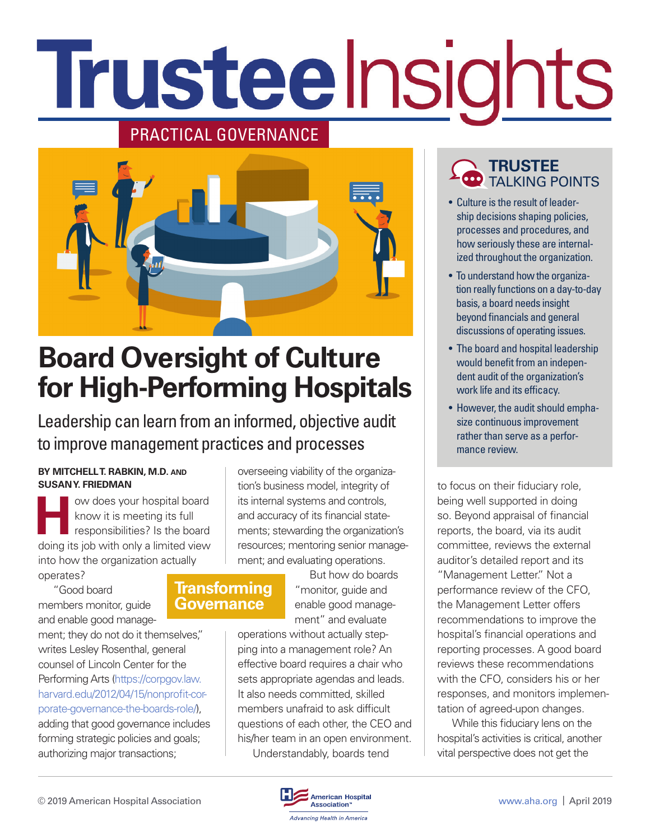# Trusteelnsights

## PRACTICAL GOVERNANCE



# **Board Oversight of Culture for High-Performing Hospitals**

Leadership can learn from an informed, objective audit to improve management practices and processes

#### **BY MITCHELL T. RABKIN, M.D. AND SUSAN Y. FRIEDMAN**

**How does your hospital board<br>
know it is meeting its full<br>
responsibilities? Is the board<br>
doing its job with only a limited view** know it is meeting its full responsibilities? Is the board doing its job with only a limited view into how the organization actually operates?

"Good board members monitor, guide and enable good manage-

ment; they do not do it themselves," writes Lesley Rosenthal, general counsel of Lincoln Center for the Performing Arts [\(https://corpgov.law.](https://corpgov.law.harvard.edu/2012/04/15/nonprofit-corporate-governance-the-boards-role/) [harvard.edu/2012/04/15/nonprofit-cor](https://corpgov.law.harvard.edu/2012/04/15/nonprofit-corporate-governance-the-boards-role/)[porate-governance-the-boards-role/\)](https://corpgov.law.harvard.edu/2012/04/15/nonprofit-corporate-governance-the-boards-role/),

adding that good governance includes forming strategic policies and goals; authorizing major transactions;

overseeing viability of the organization's business model, integrity of its internal systems and controls, and accuracy of its financial statements; stewarding the organization's resources; mentoring senior management; and evaluating operations.

## **Transforming Governance**

But how do boards "monitor, guide and enable good management" and evaluate

operations without actually stepping into a management role? An effective board requires a chair who sets appropriate agendas and leads. It also needs committed, skilled members unafraid to ask difficult questions of each other, the CEO and his/her team in an open environment. Understandably, boards tend

## **TRUSTEE** TALKING POINTS

- Culture is the result of leadership decisions shaping policies, processes and procedures, and how seriously these are internalized throughout the organization.
- To understand how the organization really functions on a day-to-day basis, a board needs insight beyond financials and general discussions of operating issues.
- The board and hospital leadership would benefit from an independent audit of the organization's work life and its efficacy.
- However, the audit should emphasize continuous improvement rather than serve as a performance review.

to focus on their fiduciary role, being well supported in doing so. Beyond appraisal of financial reports, the board, via its audit committee, reviews the external auditor's detailed report and its "Management Letter." Not a performance review of the CFO, the Management Letter offers recommendations to improve the hospital's financial operations and reporting processes. A good board reviews these recommendations with the CFO, considers his or her responses, and monitors implementation of agreed-upon changes.

While this fiduciary lens on the hospital's activities is critical, another vital perspective does not get the

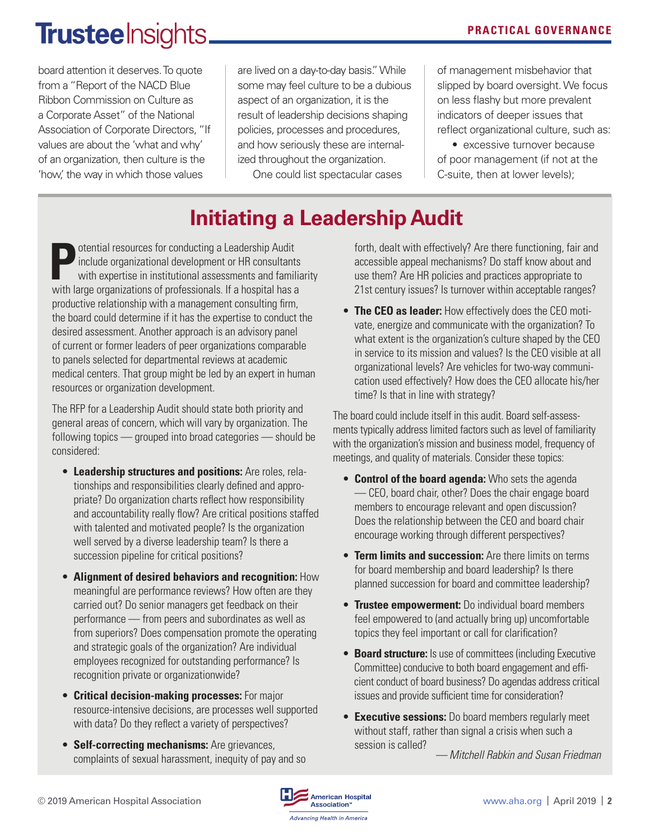# **Trustee** Insights.

board attention it deserves. To quote from a "Report of the NACD Blue Ribbon Commission on Culture as a Corporate Asset" of the National Association of Corporate Directors, "If values are about the 'what and why' of an organization, then culture is the 'how,' the way in which those values

are lived on a day-to-day basis." While some may feel culture to be a dubious aspect of an organization, it is the result of leadership decisions shaping policies, processes and procedures, and how seriously these are internalized throughout the organization.

One could list spectacular cases

of management misbehavior that slipped by board oversight. We focus on less flashy but more prevalent indicators of deeper issues that reflect organizational culture, such as:

• excessive turnover because of poor management (if not at the C-suite, then at lower levels);

## **Initiating a Leadership Audit**

**Positive and all resources for conducting a Leadership Audit**<br>include organizational development or HR consultant<br>with large examinations of professionals If a begated based include organizational development or HR consultants with expertise in institutional assessments and familiarity with large organizations of professionals. If a hospital has a productive relationship with a management consulting firm, the board could determine if it has the expertise to conduct the desired assessment. Another approach is an advisory panel of current or former leaders of peer organizations comparable to panels selected for departmental reviews at academic medical centers. That group might be led by an expert in human resources or organization development.

The RFP for a Leadership Audit should state both priority and general areas of concern, which will vary by organization. The following topics — grouped into broad categories — should be considered:

- **Leadership structures and positions:** Are roles, relationships and responsibilities clearly defined and appropriate? Do organization charts reflect how responsibility and accountability really flow? Are critical positions staffed with talented and motivated people? Is the organization well served by a diverse leadership team? Is there a succession pipeline for critical positions?
- **Alignment of desired behaviors and recognition:** How meaningful are performance reviews? How often are they carried out? Do senior managers get feedback on their performance — from peers and subordinates as well as from superiors? Does compensation promote the operating and strategic goals of the organization? Are individual employees recognized for outstanding performance? Is recognition private or organizationwide?
- **Critical decision-making processes:** For major resource-intensive decisions, are processes well supported with data? Do they reflect a variety of perspectives?
- **Self-correcting mechanisms:** Are grievances, complaints of sexual harassment, inequity of pay and so

forth, dealt with effectively? Are there functioning, fair and accessible appeal mechanisms? Do staff know about and use them? Are HR policies and practices appropriate to 21st century issues? Is turnover within acceptable ranges?

• **The CEO as leader:** How effectively does the CEO motivate, energize and communicate with the organization? To what extent is the organization's culture shaped by the CEO in service to its mission and values? Is the CEO visible at all organizational levels? Are vehicles for two-way communication used effectively? How does the CEO allocate his/her time? Is that in line with strategy?

The board could include itself in this audit. Board self-assessments typically address limited factors such as level of familiarity with the organization's mission and business model, frequency of meetings, and quality of materials. Consider these topics:

- **Control of the board agenda:** Who sets the agenda — CEO, board chair, other? Does the chair engage board members to encourage relevant and open discussion? Does the relationship between the CEO and board chair encourage working through different perspectives?
- **Term limits and succession:** Are there limits on terms for board membership and board leadership? Is there planned succession for board and committee leadership?
- **Trustee empowerment:** Do individual board members feel empowered to (and actually bring up) uncomfortable topics they feel important or call for clarification?
- **Board structure:** Is use of committees (including Executive Committee) conducive to both board engagement and efficient conduct of board business? Do agendas address critical issues and provide sufficient time for consideration?
- **Executive sessions:** Do board members regularly meet without staff, rather than signal a crisis when such a session is called?

*— Mitchell Rabkin and Susan Friedman*

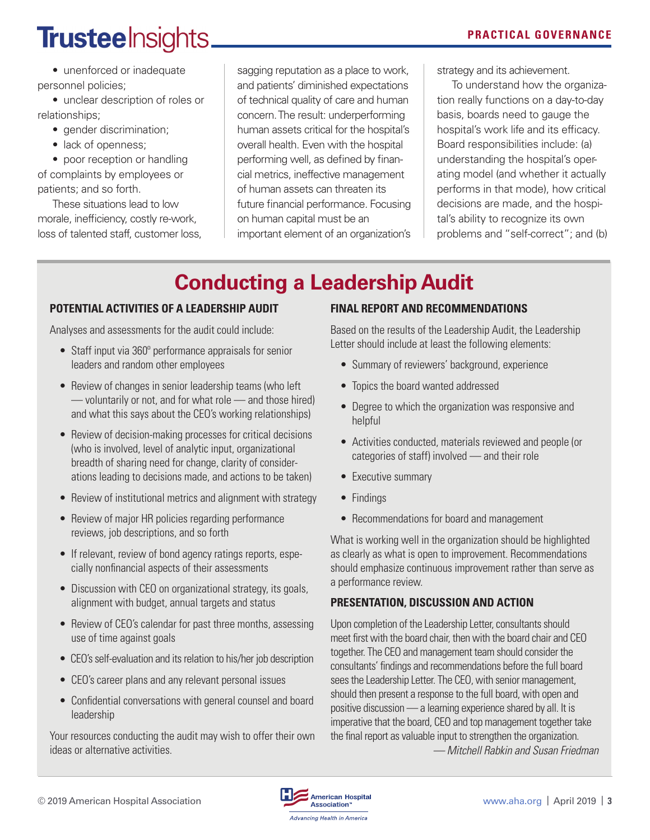# **Trustee** Insights.

• unenforced or inadequate personnel policies;

• unclear description of roles or relationships;

- gender discrimination;
- lack of openness;

• poor reception or handling of complaints by employees or patients; and so forth.

These situations lead to low morale, inefficiency, costly re-work, loss of talented staff, customer loss,

sagging reputation as a place to work, and patients' diminished expectations of technical quality of care and human concern. The result: underperforming human assets critical for the hospital's overall health. Even with the hospital performing well, as defined by financial metrics, ineffective management of human assets can threaten its future financial performance*.* Focusing on human capital must be an important element of an organization's **PRACTICAL GOVERNANCE**

strategy and its achievement.

To understand how the organization really functions on a day-to-day basis, boards need to gauge the hospital's work life and its efficacy. Board responsibilities include: (a) understanding the hospital's operating model (and whether it actually performs in that mode), how critical decisions are made, and the hospital's ability to recognize its own problems and "self-correct"; and (b)

## **Conducting a Leadership Audit**

## **POTENTIAL ACTIVITIES OF A LEADERSHIP AUDIT**

Analyses and assessments for the audit could include:

- Staff input via 360º performance appraisals for senior leaders and random other employees
- Review of changes in senior leadership teams (who left — voluntarily or not, and for what role — and those hired) and what this says about the CEO's working relationships)
- Review of decision-making processes for critical decisions (who is involved, level of analytic input, organizational breadth of sharing need for change, clarity of considerations leading to decisions made, and actions to be taken)
- Review of institutional metrics and alignment with strategy
- Review of major HR policies regarding performance reviews, job descriptions, and so forth
- If relevant, review of bond agency ratings reports, especially nonfinancial aspects of their assessments
- Discussion with CEO on organizational strategy, its goals, alignment with budget, annual targets and status
- Review of CEO's calendar for past three months, assessing use of time against goals
- CEO's self-evaluation and its relation to his/her job description
- CEO's career plans and any relevant personal issues
- Confidential conversations with general counsel and board leadership

Your resources conducting the audit may wish to offer their own ideas or alternative activities.

## **FINAL REPORT AND RECOMMENDATIONS**

Based on the results of the Leadership Audit, the Leadership Letter should include at least the following elements:

- Summary of reviewers' background, experience
- Topics the board wanted addressed
- Degree to which the organization was responsive and helpful
- Activities conducted, materials reviewed and people (or categories of staff) involved — and their role
- Executive summary
- Findings
- Recommendations for board and management

What is working well in the organization should be highlighted as clearly as what is open to improvement. Recommendations should emphasize continuous improvement rather than serve as a performance review.

## **PRESENTATION, DISCUSSION AND ACTION**

Upon completion of the Leadership Letter, consultants should meet first with the board chair, then with the board chair and CEO together. The CEO and management team should consider the consultants' findings and recommendations before the full board sees the Leadership Letter. The CEO, with senior management, should then present a response to the full board, with open and positive discussion — a learning experience shared by all. It is imperative that the board, CEO and top management together take the final report as valuable input to strengthen the organization. *— Mitchell Rabkin and Susan Friedman*

© 2019 American Hospital Association [www.aha.org](http://www.aha.org) | April 2019 | **3**